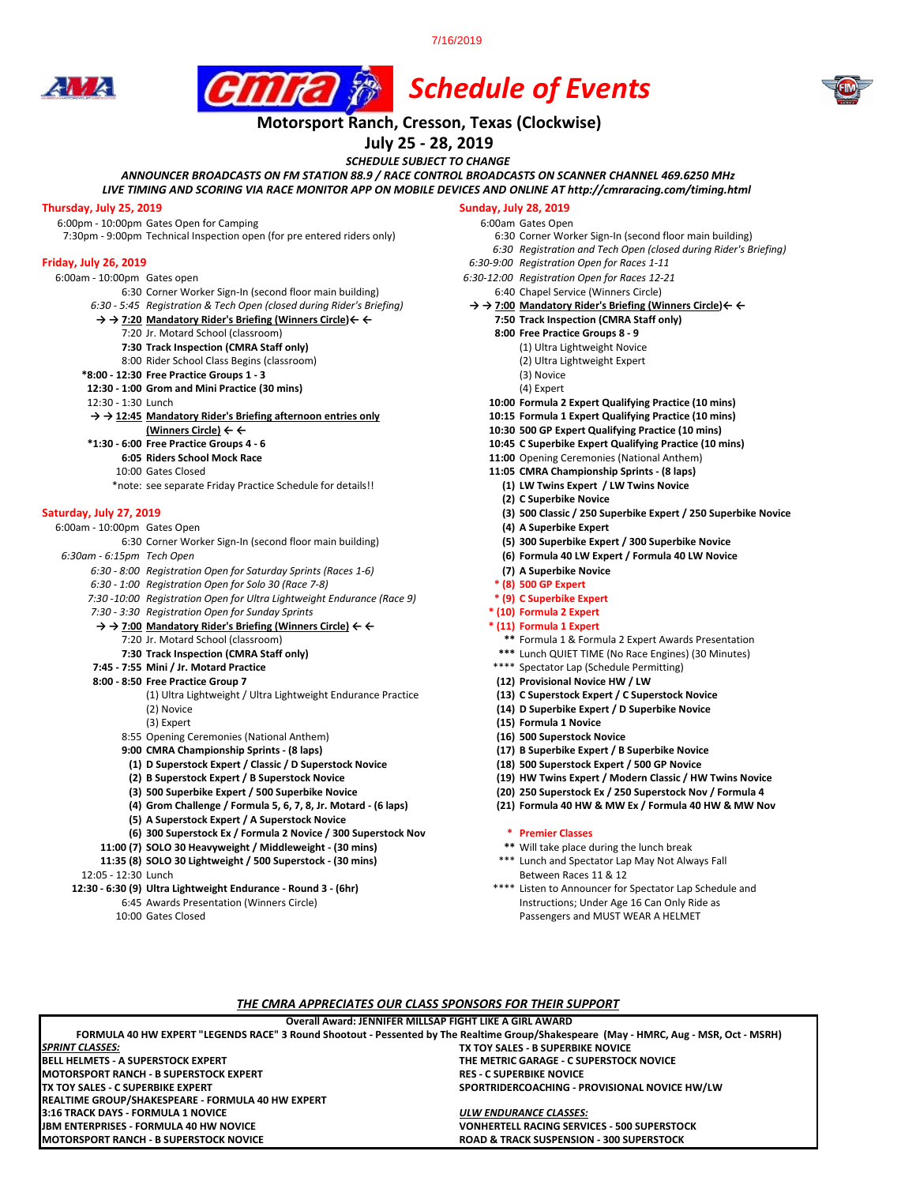7/16/2019







# *Schedule of Events* **Motorsport Ranch, Cresson, Texas (Clockwise)**

**July 25 - 28, 2019**

*SCHEDULE SUBJECT TO CHANGE*

*ANNOUNCER BROADCASTS ON FM STATION 88.9 / RACE CONTROL BROADCASTS ON SCANNER CHANNEL 469.6250 MHz*

*LIVE TIMING AND SCORING VIA RACE MONITOR APP ON MOBILE DEVICES AND ONLINE AT http://cmraracing.com/timing.html* 

**Thursday, July 25, 2019**<br>6:00pm - 10:00pm Gates Open for Camping<br>6:00pm - 10:00pm Gates Open for Camping 6:00pm - 10:00pm Gates Open for Camping<br>7:30pm - 9:00pm Technical Inspection open (for pre entered riders only) 6:30 Corner Worker Sign-In (second floor main building) 7:30pm - 9:00pm Technical Inspection open (for pre entered riders only)

- 
- 6:00am 10:00pm Gates open *6:30-12:00 Registration Open for Races 12-21*
	- *6:30 5:45 Registration & Tech Open (closed during Rider's Briefing)* **→ → 7:00 Mandatory Rider's Briefing (Winners Circle)← ←**
	- **→ → 7:20 Mandatory Rider's Briefing (Winners Circle)← ← 7:50 Track Inspection (CMRA Staff only)**
		- 7:20 Jr. Motard School (classroom) **8:00 Free Practice Groups 8 9**
		- **7:30 Track Inspection (CMRA Staff only)** (1) Ultra Lightweight Novice
		- 8:00 Rider School Class Begins (classroom)
	- **\*8:00 12:30 Free Practice Groups 1 3** (3) Novice
	- **12:30 1:00 Grom and Mini Practice (30 mins) 12:30 1:30 Lunch**
	-

#### **→ → 12:45 Mandatory Rider's Briefing afternoon entries only 10:15 Formula 1 Expert Qualifying Practice (10 mins)**

- 
- 
- 
- 
- \*note: see separate Friday Practice Schedule for details!!

6:00am - 10:00pm Gates Open **(4) A Superbike Expert** 6:30 Corner Worker Sign-In (second floor main building)

- *6:30 8:00 Registration Open for Saturday Sprints (Races 1-6)* **(7) A Superbike Novice**
- 
- *6:30 1:00 Registration Open for Solo 30 (Race 7-8)* **\* (8) 500 GP Expert**  *7:30 -10:00 Registration Open for Ultra Lightweight Endurance (Race 9)* **\* (9) C Superbike Expert**
- *7:30 3:30 Registration Open for Sunday Sprints* **\* (10) Formula 2 Expert**
- **→ → 7:00 Mandatory Rider's Briefing (Winners Circle) ← ← \* (11) Formula 1 Expert** 
	-
	-

- **8:00 8:50 Free Practice Group 7 (12) Provisional Novice HW / LW** (1) Ultra Lightweight / Ultra Lightweight Endurance Practice **(13) C Superstock Expert / C Superstock Novice** (2) Novice **(14) D Superbike Expert / D Superbike Novice**
	-
	- 8:55 Opening Ceremonies (National Anthem) **(16) 500 Superstock Novice**
	- **9:00 CMRA Championship Sprints (8 laps) (17) B Superbike Expert / B Superbike Novice**
	- **(1) D Superstock Expert / Classic / D Superstock Novice (18) 500 Superstock Expert / 500 GP Novice**
	-
	-
	- **(4)** Grom Challenge / Formula 5, 6, 7, 8, Jr. Motard (6 laps)
	- **(5) A Superstock Expert / A Superstock Novice**
	-

**BELL HELMETS - A SUPERSTOCK EXPERT THE METRIC GARAGE - C SUPERSTOCK NOVICE**

**FORMULA 40 HW EXPERT "LEGENDS RACE" 3 Round Shootout - Pessented by The Realtime Group/Shakespeare (May - HMRC, Aug - MSR, Oct - MSRH)**

**Overall Award: JENNIFER MILLSAP FIGHT LIKE A GIRL AWARD**

*THE CMRA APPRECIATES OUR CLASS SPONSORS FOR THEIR SUPPORT*

**MOTORSPORT RANCH - B SUPERSTOCK NOVICE ROAD & TRACK SUSPENSION - 300 SUPERSTOCK**

**3:16 TRACK DAYS - FORMULA 1 NOVICE** *ULW ENDURANCE CLASSES:*

- **(6) 300 Superstock Ex / Formula 2 Novice / 300 Superstock Nov \* Premier Classes**
- **11:00 (7) SOLO 30 Heavyweight / Middleweight (30 mins) \*\*** Will take place during the lunch break **11:35 (8) SOLO 30 Lightweight / 500 Superstock - (30 mins)**

- 12:05 12:30 Lunch<br>2:30 6:30 (9) Ultra Lightweight Endurance Round 3 (6hr) 12:05 12:30 6:30 (9) Ultra Lightweight Endurance Round 3 (6hr) **12:30 - 6:30 (9) Ultra Lightweight Endurance - Round 3 - (6hr)** 
	- 6:45 Awards Presentation (Winners Circle) Instructions; Under Age 16 Can Only Ride as
	- 10:00 Gates Closed Passengers and MUST WEAR A HELMET

**MOTORSPORT RANCH - B SUPERSTOCK EXPERT<br>TX TOY SALES - C SUPERBIKE EXPERT** 

**REALTIME GROUP/SHAKESPEARE - FORMULA 40 HW EXPERT**

*SPRINT CLASSES:*

- -
	- *6:30 Registration and Tech Open (closed during Rider's Briefing)*
- **Friday, July 26, 2019** *6:30-9:00 Registration Open for Races 1-11*
	-
	-
	- 6:30 Corner Worker Sign-In (second floor main building) 6:40 Chapel Service (Winners Circle) 6:45 Registration & Tech Open (closed during Rider's Briefing)  $5:45$  Registration & Tech Open (closed during Rider's Briefing)
		-
		- -
			-
			-
			-
		- 10:00 Formula 2 Expert Qualifying Practice (10 mins)
		-
	- **(Winners Circle) ← ← 10:30 500 GP Expert Qualifying Practice (10 mins)**
		- **\*1:30 6:00 Free Practice Groups 4 6 10:45 C Superbike Expert Qualifying Practice (10 mins)**
			- **11:00** Opening Ceremonies (National Anthem)
		- 10:00 Gates Closed **11:05 CMRA Championship Sprints (8 laps)**
			-
			- **(2) C Superbike Novice**
- **Saturday, July 27, 2019 (3) 500 Classic / 250 Superbike Expert / 250 Superbike Novice**
	-
	-
	- *6:30am 6:15pm Tech Open* **(6) Formula 40 LW Expert / Formula 40 LW Novice**
		-
		-
		-
		- - 7:20 Jr. Motard School (classroom) **\*\*** Formula 1 & Formula 2 Expert Awards Presentation
		- **7:30 Track Inspection (CMRA Staff only) \*\*\*** Lunch QUIET TIME (No Race Engines) (30 Minutes)
		- **7:45 7:55 Mini / Jr. Motard Practice** \*\*\*\* Spectator Lap (Schedule Permitting) **8:00 8:50 Free Practice Group 7** (32) **Provisional Novice HW / LW** 
			-
			-
			-
			- (3) Expert **(15) Formula 1 Novice**
			-
			-
			-
			- **(2) B Superstock Expert / B Superstock Novice (19) HW Twins Expert / Modern Classic / HW Twins Novice**
			- **(3) 500 Superbike Expert / 500 Superbike Novice (20) 250 Superstock Ex / 250 Superstock Nov / Formula 4** 
				-

**TX TOY SALES - B SUPERBIKE NOVICE**

**SPORTRIDERCOACHING - PROVISIONAL NOVICE HW/LW** 

**VONHERTELL RACING SERVICES - 500 SUPERSTOCK**